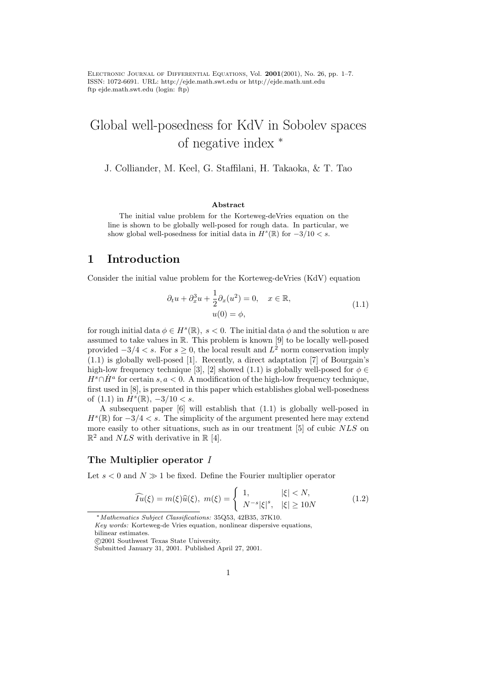Electronic Journal of Differential Equations, Vol. 2001(2001), No. 26, pp. 1–7. ISSN: 1072-6691. URL: http://ejde.math.swt.edu or http://ejde.math.unt.edu ftp ejde.math.swt.edu (login: ftp)

# Global well-posedness for KdV in Sobolev spaces of negative index <sup>∗</sup>

J. Colliander, M. Keel, G. Staffilani, H. Takaoka, & T. Tao

#### Abstract

The initial value problem for the Korteweg-deVries equation on the line is shown to be globally well-posed for rough data. In particular, we show global well-posedness for initial data in  $H^s(\mathbb{R})$  for  $-3/10 < s$ .

## 1 Introduction

Consider the initial value problem for the Korteweg-deVries (KdV) equation

$$
\partial_t u + \partial_x^3 u + \frac{1}{2} \partial_x (u^2) = 0, \quad x \in \mathbb{R},
$$
  

$$
u(0) = \phi,
$$
 (1.1)

for rough initial data  $\phi \in H^s(\mathbb{R}), s < 0$ . The initial data  $\phi$  and the solution u are assumed to take values in R. This problem is known [9] to be locally well-posed provided  $-3/4 < s$ . For  $s \geq 0$ , the local result and  $L^2$  norm conservation imply (1.1) is globally well-posed [1]. Recently, a direct adaptation [7] of Bourgain's high-low frequency technique [3], [2] showed (1.1) is globally well-posed for  $\phi \in$  $H^s \cap \dot{H}^a$  for certain s,  $a < 0$ . A modification of the high-low frequency technique, first used in [8], is presented in this paper which establishes global well-posedness of  $(1.1)$  in  $\overline{H}^s(\mathbb{R}), -3/10 < s$ .

A subsequent paper [6] will establish that (1.1) is globally well-posed in  $H^s(\mathbb{R})$  for  $-3/4 < s$ . The simplicity of the argument presented here may extend more easily to other situations, such as in our treatment [5] of cubic NLS on  $\mathbb{R}^2$  and  $NLS$  with derivative in  $\mathbb{R}$  [4].

### The Multiplier operator I

Let  $s < 0$  and  $N \gg 1$  be fixed. Define the Fourier multiplier operator

$$
\widehat{Iu}(\xi) = m(\xi)\widehat{u}(\xi), \ m(\xi) = \begin{cases} 1, & |\xi| < N, \\ N^{-s}|\xi|^s, & |\xi| \ge 10N \end{cases}
$$
\n(1.2)

<sup>∗</sup>Mathematics Subject Classifications: 35Q53, 42B35, 37K10.

Key words: Korteweg-de Vries equation, nonlinear dispersive equations,

bilinear estimates.

c 2001 Southwest Texas State University.

Submitted January 31, 2001. Published April 27, 2001.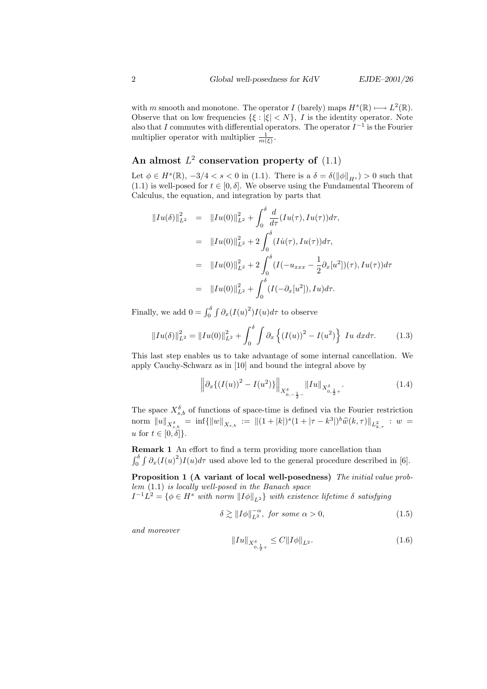with m smooth and monotone. The operator I (barely) maps  $H^s(\mathbb{R}) \longrightarrow L^2(\mathbb{R})$ . Observe that on low frequencies  $\{\xi : |\xi| < N\}$ , I is the identity operator. Note also that I commutes with differential operators. The operator  $I^{-1}$  is the Fourier multiplier operator with multiplier  $\frac{1}{m(\xi)}$ .

## An almost  $L^2$  conservation property of  $(1.1)$

Let  $\phi \in H^s(\mathbb{R}), -3/4 < s < 0$  in (1.1). There is a  $\delta = \delta(\|\phi\|_{H^s}) > 0$  such that (1.1) is well-posed for  $t \in [0, \delta]$ . We observe using the Fundamental Theorem of Calculus, the equation, and integration by parts that

$$
||Iu(\delta)||_{L^{2}}^{2} = ||Iu(0)||_{L^{2}}^{2} + \int_{0}^{\delta} \frac{d}{d\tau} (Iu(\tau), Iu(\tau))d\tau,
$$
  
\n
$$
= ||Iu(0)||_{L^{2}}^{2} + 2 \int_{0}^{\delta} (I\dot{u}(\tau), Iu(\tau))d\tau,
$$
  
\n
$$
= ||Iu(0)||_{L^{2}}^{2} + 2 \int_{0}^{\delta} (I(-u_{xxx} - \frac{1}{2}\partial_{x}[u^{2}])(\tau), Iu(\tau))d\tau
$$
  
\n
$$
= ||Iu(0)||_{L^{2}}^{2} + \int_{0}^{\delta} (I(-\partial_{x}[u^{2}]), Iu)d\tau.
$$

Finally, we add  $0 = \int_0^{\delta} \int \partial_x (I(u)^2) I(u) d\tau$  to observe

$$
||Iu(\delta)||_{L^2}^2 = ||Iu(0)||_{L^2}^2 + \int_0^{\delta} \int \partial_x \left\{ (I(u))^2 - I(u^2) \right\} Iu \, dx d\tau. \tag{1.3}
$$

This last step enables us to take advantage of some internal cancellation. We apply Cauchy-Schwarz as in [10] and bound the integral above by

$$
\left\| \partial_x \left\{ (I(u))^2 - I(u^2) \right\} \right\|_{X^{\delta}_{0, -\frac{1}{2} -}} \|Iu\|_{X^{\delta}_{0, \frac{1}{2} +}}.
$$
\n(1.4)

The space  $X_{s,b}^{\delta}$  of functions of space-time is defined via the Fourier restriction norm  $||u||_{X_{s,b}^{\delta}} = \inf{||w||_{X_{s,b}}} := ||(1+|k|)^{s}(1+|\tau-k^3|)^{b} \widehat{w}(k,\tau)||_{L_{k,\tau}^2} : w =$ u for  $t \in [0, \delta]$ .

Remark 1 An effort to find a term providing more cancellation than  $\int_0^{\delta} \int \partial_x (I(u))^2 I(u) d\tau$  used above led to the general procedure described in [6].

Proposition 1 (A variant of local well-posedness) The initial value problem (1.1) is locally well-posed in the Banach space

 $I^{-1}L^2 = \{ \phi \in H^s \text{ with norm } ||I\phi||_{L^2} \}$  with existence lifetime  $\delta$  satisfying

$$
\delta \gtrsim ||I\phi||_{L^2}^{-\alpha}, \text{ for some } \alpha > 0,
$$
\n(1.5)

and moreover

$$
||Iu||_{X^{\delta}_{0,\frac{1}{2}+}} \leq C||I\phi||_{L^{2}}.\tag{1.6}
$$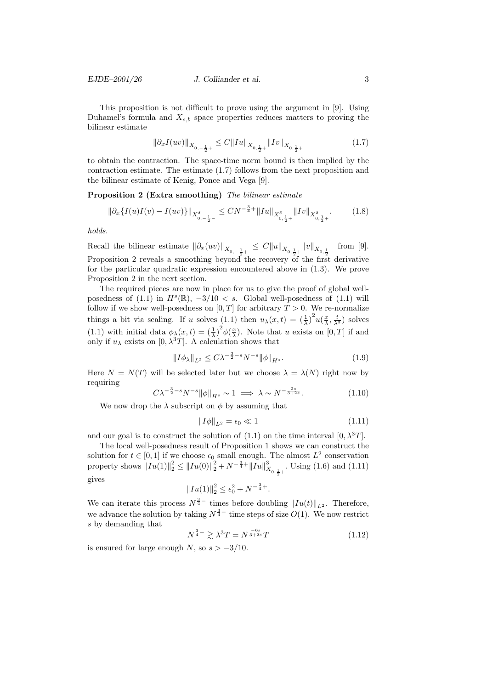This proposition is not difficult to prove using the argument in [9]. Using Duhamel's formula and  $X_{s,b}$  space properties reduces matters to proving the bilinear estimate

$$
\|\partial_x I(uv)\|_{X_{0,-\frac{1}{2}+}}\leq C\|Iu\|_{X_{0,\frac{1}{2}+}}\|Iv\|_{X_{0,\frac{1}{2}+}}\qquad \qquad (1.7)
$$

to obtain the contraction. The space-time norm bound is then implied by the contraction estimate. The estimate (1.7) follows from the next proposition and the bilinear estimate of Kenig, Ponce and Vega [9].

Proposition 2 (Extra smoothing) The bilinear estimate

$$
\|\partial_x \{ I(u)I(v) - I(uv) \} \|_{X^{\delta}_{0, -\frac{1}{2}^-}} \leq CN^{-\frac{3}{4}+} \| Iu \|_{X^{\delta}_{0, \frac{1}{2}+}} \| Iv \|_{X^{\delta}_{0, \frac{1}{2}+}}.
$$
 (1.8)

holds.

Recall the bilinear estimate  $\|\partial_x(uv)\|_{X_{0,-\frac{1}{2}+}} \leq C \|u\|_{X_{0,\frac{1}{2}+}} \|v\|_{X_{0,\frac{1}{2}+}}$  from [9]. Proposition 2 reveals a smoothing beyond the recovery of the first derivative for the particular quadratic expression encountered above in (1.3). We prove Proposition 2 in the next section.

The required pieces are now in place for us to give the proof of global wellposedness of (1.1) in  $H^s(\mathbb{R}), -3/10 < s$ . Global well-posedness of (1.1) will follow if we show well-posedness on  $[0, T]$  for arbitrary  $T > 0$ . We re-normalize things a bit via scaling. If u solves (1.1) then  $u_\lambda(x,t) = \left(\frac{1}{\lambda}\right)^2 u(\frac{x}{\lambda}, \frac{t}{\lambda^3})$  solves (1.1) with initial data  $\phi_{\lambda}(x,t) = \left(\frac{1}{\lambda}\right)^2 \phi\left(\frac{x}{\lambda}\right)$ . Note that u exists on [0, T] if and only if  $u_{\lambda}$  exists on [0,  $\lambda^{3}T$ ]. A calculation shows that

$$
||I\phi_{\lambda}||_{L^{2}} \leq C\lambda^{-\frac{3}{2}-s}N^{-s}||\phi||_{H^{s}}.
$$
\n(1.9)

Here  $N = N(T)$  will be selected later but we choose  $\lambda = \lambda(N)$  right now by requiring

$$
C\lambda^{-\frac{3}{2}-s}N^{-s}\|\phi\|_{H^s} \sim 1 \implies \lambda \sim N^{-\frac{2s}{3+2s}}.\tag{1.10}
$$

We now drop the  $\lambda$  subscript on  $\phi$  by assuming that

$$
||I\phi||_{L^2} = \epsilon_0 \ll 1\tag{1.11}
$$

and our goal is to construct the solution of  $(1.1)$  on the time interval  $[0, \lambda^3T]$ .

The local well-posedness result of Proposition 1 shows we can construct the solution for  $t \in [0,1]$  if we choose  $\epsilon_0$  small enough. The almost  $L^2$  conservation property shows  $||Iu(1)||_2^2 \le ||Iu(0)||_2^2 + N^{-\frac{3}{4}+} ||Iu||_{X_{0,\frac{1}{2}+}}^3$ . Using (1.6) and (1.11) gives

$$
||Iu(1)||_2^2 \le \epsilon_0^2 + N^{-\frac{3}{4}+}.
$$

We can iterate this process  $N^{\frac{3}{4}-}$  times before doubling  $||I_u(t)||_{L^2}$ . Therefore, we advance the solution by taking  $N^{\frac{3}{4}-}$  time steps of size  $O(1)$ . We now restrict s by demanding that

$$
N^{\frac{3}{4}-} \gtrsim \lambda^3 T = N^{\frac{-6s}{3+2s}} T \tag{1.12}
$$

is ensured for large enough N, so  $s > -3/10$ .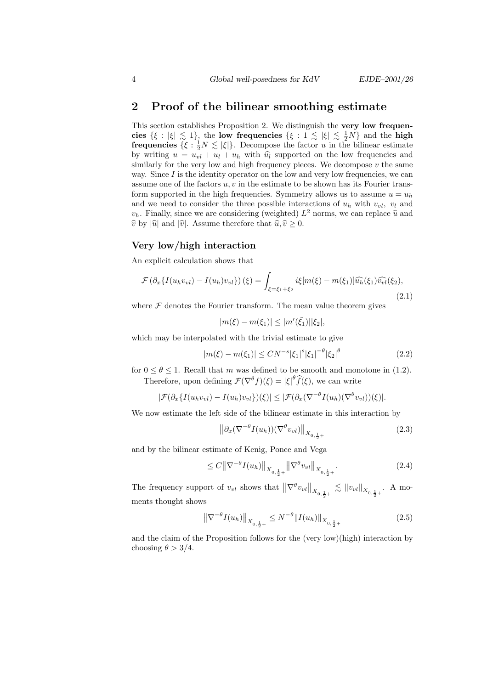## 2 Proof of the bilinear smoothing estimate

This section establishes Proposition 2. We distinguish the very low frequencies  $\{\xi : |\xi| \leq 1\}$ , the low frequencies  $\{\xi : 1 \leq |\xi| \leq \frac{1}{2}N\}$  and the high **frequencies**  $\{\xi : \frac{1}{2}N \lesssim |\xi|\}.$  Decompose the factor u in the bilinear estimate by writing  $u = u_{vl} + u_l + u_h$  with  $\hat{u}_l$  supported on the low frequencies and similarly for the very low and high frequency pieces. We decompose  $v$  the same way. Since  $I$  is the identity operator on the low and very low frequencies, we can assume one of the factors  $u, v$  in the estimate to be shown has its Fourier transform supported in the high frequencies. Symmetry allows us to assume  $u = u<sub>h</sub>$ and we need to consider the three possible interactions of  $u_h$  with  $v_{vl}$ ,  $v_l$  and  $v_h$ . Finally, since we are considering (weighted)  $L^2$  norms, we can replace  $\hat{u}$  and  $\hat{w}$  and  $\hat{w}$  are therefore that  $\hat{u}$   $\hat{v} > 0$  $\hat{v}$  by  $|\hat{u}|$  and  $|\hat{v}|$ . Assume therefore that  $\hat{u}, \hat{v} \ge 0$ .

#### Very low/high interaction

An explicit calculation shows that

$$
\mathcal{F}\left(\partial_x\{I(u_hv_{vl})-I(u_h)v_{vl}\}\right)(\xi) = \int_{\xi=\xi_1+\xi_2} i\xi[m(\xi)-m(\xi_1)]\widehat{u_h}(\xi_1)\widehat{v_{vl}}(\xi_2),\tag{2.1}
$$

where  $\mathcal F$  denotes the Fourier transform. The mean value theorem gives

$$
|m(\xi) - m(\xi_1)| \le |m'(\tilde{\xi_1})||\xi_2|,
$$

which may be interpolated with the trivial estimate to give

$$
|m(\xi) - m(\xi_1)| \le CN^{-s} |\xi_1|^s |\xi_1|^{-\theta} |\xi_2|^\theta
$$
\n(2.2)

for  $0 \le \theta \le 1$ . Recall that m was defined to be smooth and monotone in (1.2). Therefore, upon defining  $\mathcal{F}(\nabla^{\theta} f)(\xi) = |\xi|^{\theta} \widehat{f}(\xi)$ , we can write

$$
|\mathcal{F}(\partial_x\{I(u_hv_{vl})-I(u_h)v_{vl}\})(\xi)| \leq |\mathcal{F}(\partial_x(\nabla^{-\theta}I(u_h)(\nabla^{\theta}v_{vl}))(\xi)|.
$$

We now estimate the left side of the bilinear estimate in this interaction by

$$
\left\|\partial_x(\nabla^{-\theta}I(u_h))(\nabla^{\theta}v_{vl})\right\|_{X_{0,\frac{1}{2}+}}\tag{2.3}
$$

and by the bilinear estimate of Kenig, Ponce and Vega

$$
\leq C \|\nabla^{-\theta} I(u_h)\|_{X_{0,\frac{1}{2}+}} \|\nabla^{\theta} v_{vl}\|_{X_{0,\frac{1}{2}+}}.\tag{2.4}
$$

The frequency support of  $v_{vl}$  shows that  $\|\nabla^{\theta}v_{vl}\|_{X_{0,\frac{1}{2}+}} \lesssim \|v_{vl}\|_{X_{0,\frac{1}{2}+}}$ . A moments thought shows

$$
\left\|\nabla^{-\theta}I(u_h)\right\|_{X_{0,\frac{1}{2}+}} \le N^{-\theta} \|I(u_h)\|_{X_{0,\frac{1}{2}+}} \tag{2.5}
$$

and the claim of the Proposition follows for the (very low)(high) interaction by choosing  $\theta > 3/4$ .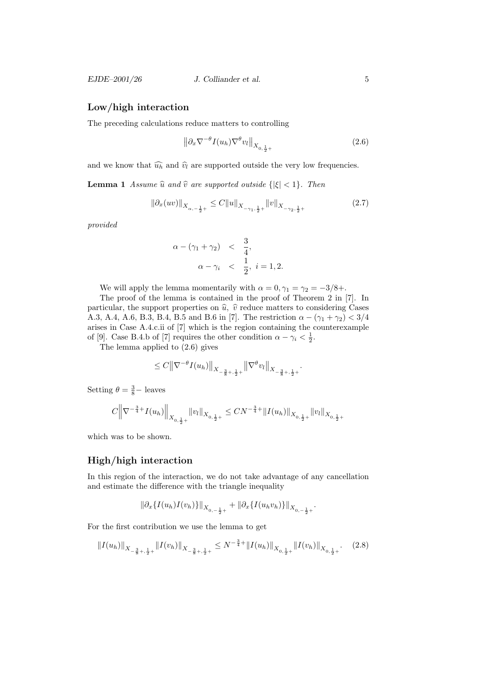#### Low/high interaction

The preceding calculations reduce matters to controlling

$$
\left\|\partial_x \nabla^{-\theta} I(u_h) \nabla^{\theta} v_l\right\|_{X_{0,\frac{1}{2}+}}\tag{2.6}
$$

and we know that  $\widehat{u_h}$  and  $\widehat{v_l}$  are supported outside the very low frequencies.

**Lemma 1** Assume  $\hat{u}$  and  $\hat{v}$  are supported outside  $\{|\xi| < 1\}$ . Then

$$
\left\|\partial_x(uv)\right\|_{X_{\alpha,-\frac{1}{2}+}} \leq C \|u\|_{X_{-\gamma_1,\frac{1}{2}+}} \|v\|_{X_{-\gamma_2,\frac{1}{2}+}} \tag{2.7}
$$

provided

$$
\alpha - (\gamma_1 + \gamma_2) < \frac{3}{4},
$$
  
\n
$$
\alpha - \gamma_i < \frac{1}{2}, i = 1, 2.
$$

We will apply the lemma momentarily with  $\alpha = 0, \gamma_1 = \gamma_2 = -3/8 +$ .

The proof of the lemma is contained in the proof of Theorem 2 in [7]. In particular, the support properties on  $\hat{u}$ ,  $\hat{v}$  reduce matters to considering Cases A.3, A.4, A.6, B.3, B.4, B.5 and B.6 in [7]. The restriction  $\alpha - (\gamma_1 + \gamma_2) < 3/4$ arises in Case A.4.c.ii of [7] which is the region containing the counterexample of [9]. Case B.4.b of [7] requires the other condition  $\alpha - \gamma_i < \frac{1}{2}$ .

The lemma applied to (2.6) gives

$$
\le C\big\|\nabla^{-\theta}I(u_h)\big\|_{X_{-\frac{3}{8}+,\frac{1}{2}+}}\big\|\nabla^{\theta}v_l\big\|_{X_{-\frac{3}{8}+,\frac{1}{2}+}}.
$$

Setting  $\theta = \frac{3}{8} - \text{leaves}$ 

$$
C \Big\|\nabla^{-\frac{3}{4}+} I(u_h)\Big\|_{X_{0,\frac{1}{2}+}} \|v_l\|_{X_{0,\frac{1}{2}+}} \leq CN^{-\frac{3}{4}+} \|I(u_h)\|_{X_{0,\frac{1}{2}+}} \|v_l\|_{X_{0,\frac{1}{2}+}}
$$

which was to be shown.

#### High/high interaction

In this region of the interaction, we do not take advantage of any cancellation and estimate the difference with the triangle inequality

$$
\|\partial_x\{I(u_h)I(v_h)\}\|_{X_{0,-\frac{1}{2}+}}+\|\partial_x\{I(u_hv_h)\}\|_{X_{0,-\frac{1}{2}+}}.
$$

For the first contribution we use the lemma to get

$$
||I(u_h)||_{X_{-\frac{3}{8}+\frac{1}{2}+}}||I(v_h)||_{X_{-\frac{3}{8}+\frac{1}{2}+}} \leq N^{-\frac{3}{4}+}||I(u_h)||_{X_{0,\frac{1}{2}+}}||I(v_h)||_{X_{0,\frac{1}{2}+}}.\tag{2.8}
$$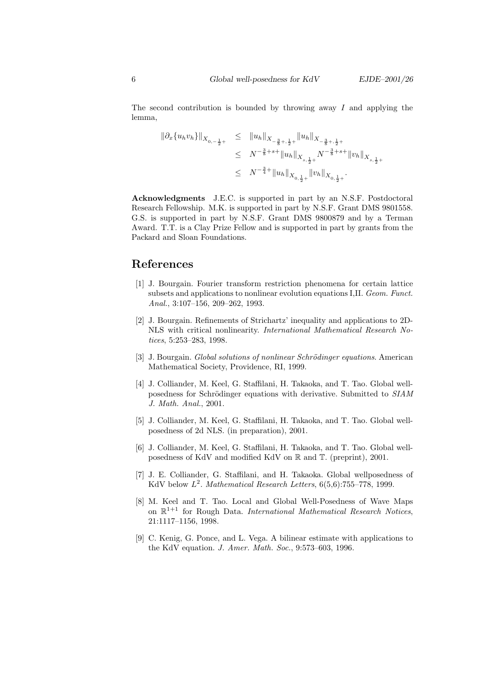The second contribution is bounded by throwing away I and applying the lemma,

$$
\begin{array}{lcl} \displaystyle \| \partial_x \{ u_h v_h \} \|_{X_{0, -\frac{1}{2}+}} & \leq & \displaystyle \| u_h \|_{X_{-\frac{3}{8}+, \frac{1}{2}+}} \| u_h \|_{X_{-\frac{3}{8}+, \frac{1}{2}+}} \\ \\ & \leq & N^{-\frac{3}{8}+s+} \| u_h \|_{X_{s, \frac{1}{2}+}} N^{-\frac{3}{8}+s+} \| v_h \|_{X_{s, \frac{1}{2}+}} \\ \\ & \leq & N^{-\frac{3}{4}+} \| u_h \|_{X_{0, \frac{1}{2}+}} \| v_h \|_{X_{0, \frac{1}{2}+}} . \end{array}
$$

Acknowledgments J.E.C. is supported in part by an N.S.F. Postdoctoral Research Fellowship. M.K. is supported in part by N.S.F. Grant DMS 9801558. G.S. is supported in part by N.S.F. Grant DMS 9800879 and by a Terman Award. T.T. is a Clay Prize Fellow and is supported in part by grants from the Packard and Sloan Foundations.

## References

- [1] J. Bourgain. Fourier transform restriction phenomena for certain lattice subsets and applications to nonlinear evolution equations I,II. Geom. Funct. Anal., 3:107–156, 209–262, 1993.
- [2] J. Bourgain. Refinements of Strichartz' inequality and applications to 2D-NLS with critical nonlinearity. International Mathematical Research Notices, 5:253–283, 1998.
- [3] J. Bourgain. Global solutions of nonlinear Schrödinger equations. American Mathematical Society, Providence, RI, 1999.
- [4] J. Colliander, M. Keel, G. Staffilani, H. Takaoka, and T. Tao. Global wellposedness for Schrödinger equations with derivative. Submitted to  $SIAM$ J. Math. Anal., 2001.
- [5] J. Colliander, M. Keel, G. Staffilani, H. Takaoka, and T. Tao. Global wellposedness of 2d NLS. (in preparation), 2001.
- [6] J. Colliander, M. Keel, G. Staffilani, H. Takaoka, and T. Tao. Global wellposedness of KdV and modified KdV on R and T. (preprint), 2001.
- [7] J. E. Colliander, G. Staffilani, and H. Takaoka. Global wellposedness of KdV below  $L^2$ . Mathematical Research Letters,  $6(5,6)$ :755–778, 1999.
- [8] M. Keel and T. Tao. Local and Global Well-Posedness of Wave Maps on  $\mathbb{R}^{1+1}$  for Rough Data. International Mathematical Research Notices, 21:1117–1156, 1998.
- [9] C. Kenig, G. Ponce, and L. Vega. A bilinear estimate with applications to the KdV equation. J. Amer. Math. Soc., 9:573–603, 1996.